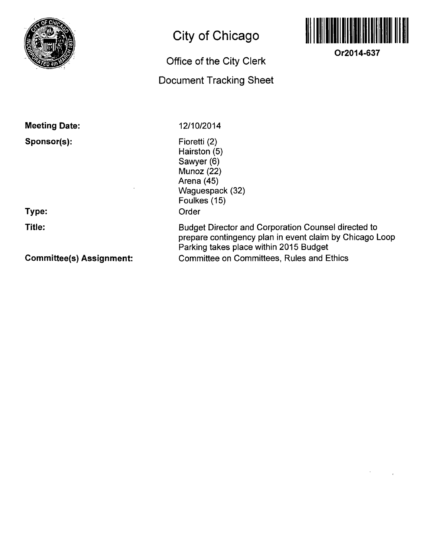

**Meeting Date:** 

**Sponsor(s):** 

**Type:** 

**Title:** 

**Committee(s) Assignment:** 

## **City of Chicago**

## **Office of the City Clerk**

## **Document Tracking Sheet**

**12/10/2014** 

Fioretti (2) Hairston (5) Sawyer (6) Munoz (22) Arena (45) Waguespack (32) Foulkes (15) Order

Budget Director and Corporation Counsel directed to prepare contingency plan in event claim by Chicago Loop Parking takes place within 2015 Budget Committee on Committees, Rules and Ethics



**Or2014-637**